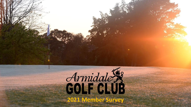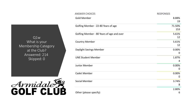Q1w What is your Membership Category at the Club? Answered: 214 Skipped: 0



| <b>ANSWER CHOICES</b>                     | <b>RESPONSES</b>          |
|-------------------------------------------|---------------------------|
| <b>Gold Member</b>                        | 8.88%<br>19               |
| Golfing Member - 22-80 Years of age       | 71.50%<br>153             |
| Golfing Member - 80 Years of age and over | 5.61%<br>12               |
| <b>Country Member</b>                     | 5.61%<br>12               |
| Daylight Savings Member                   | 0.00%<br>$\mathbf 0$      |
| <b>UNE Student Member</b>                 | 1.87%<br>4                |
| Junior Member                             | 0.00%<br>$\boldsymbol{0}$ |
| <b>Cadet Member</b>                       | 0.00%<br>$\mathbf 0$      |
| <b>Social Member</b>                      | 3.74%<br>8                |
| Other (please specify)                    | 2.80%<br>6                |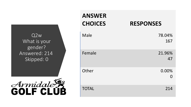Q2w What is your gender? Answered: 214 Skipped: 0



| <b>ANSWER</b><br><b>CHOICES</b> | <b>RESPONSES</b> |
|---------------------------------|------------------|
| Male                            | 78.04%<br>167    |
| Female                          | 21.96%<br>47     |
| Other                           | 0.00%<br>N       |
| <b>TOTAL</b>                    | 214              |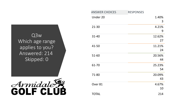Q3 w Which age range applies to you? Answered: 214 Skipped: 0



| <b>ANSWER CHOICES</b> | <b>RESPONSES</b> |              |
|-----------------------|------------------|--------------|
| Under 20              |                  | 1.40%<br>3   |
| $21 - 30$             |                  | 4.21%<br>9   |
| $31 - 40$             |                  | 12.62%<br>27 |
| 41-50                 |                  | 11.21%<br>24 |
| 51-60                 |                  | 20.56%<br>44 |
| 61-70                 |                  | 25.23%<br>54 |
| 71-80                 |                  | 20.09%<br>43 |
| Over 81               |                  | 4.67%<br>10  |
| <b>TOTAL</b>          |                  | 214          |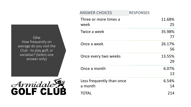Q4w How frequently on average do you visit the Club - to play golf, or socialise? (Select one answer only)



| <b>ANSWER CHOICES</b>                | <b>RESPONSES</b> |
|--------------------------------------|------------------|
| Three or more times a<br>week        | 11.68%<br>25     |
| Twice a week                         | 35.98%<br>77     |
| Once a week                          | 26.17%<br>56     |
| Once every two weeks                 | 13.55%<br>29     |
| Once a month                         | 6.07%<br>13      |
| Less frequently than once<br>a month | 6.54%<br>14      |
| <b>TOTAL</b>                         | 214              |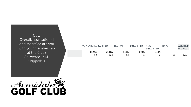Q5 w Overall, how satisfied or dissatisfied are you with your membership at the Club? Answered: 214 Skipped: 0



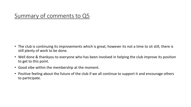## Summary of comments to Q5

- The club is continuing its improvements which is great, however its not a time to sit still, there is still plenty of work to be done.
- Well done & thankyou to everyone who has been involved in helping the club improve its position to get to this point.
- Good vibe within the membership at the moment.
- Positive feeling about the future of the club if we all continue to support it and encourage others to participate.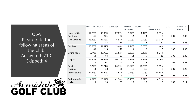Q6w Please rate the following areas of the Club: Answered: 210 Skipped: 4



|                       | <b>EXCELLENT GOOD</b> |        | AVERAGE | <b>BELOW</b><br>AVERAGE | <b>POOR</b> | <b>NOT</b><br><b>APPLICABLE</b> | <b>TOTAL</b> | <b>WEIGHTED</b><br>AVERAGE |
|-----------------------|-----------------------|--------|---------|-------------------------|-------------|---------------------------------|--------------|----------------------------|
| House of Golf         | 14.83%                | 48.33% | 27.27%  | 5.74%                   | 1.44%       | 2.39%                           |              |                            |
| Pro Shop              | 31                    | 101    | 57      | 12                      | 3           | 5                               | 209          | 2.38                       |
| <b>Golf Cart Hire</b> | 16.83%                | 42.08% | 6.93%   | 0.00%                   | 0.99%       | 33.17%                          |              |                            |
|                       | 34                    | 85     | 14      | 0                       | 2           | 67                              | 202          | 3.26                       |
| Bar Area              | 28.85%                | 54.81% | 13.46%  | 1.44%                   | 0.00%       | 1.44%                           |              |                            |
|                       | 60                    | 114    | 28      | 3                       | 0           | 3                               | 208          | 1.93                       |
| Dining Room           | 8.74%                 | 40.78% | 32.52%  | 6.80%                   | 2.43%       | 8.74%                           |              |                            |
|                       | 18                    | 84     | 67      | 14                      | 5           | 18                              | 206          | 2.80                       |
| Carpark               | 12.50%                | 48.56% | 30.77%  | 6.25%                   | 1.92%       | 0.00%                           |              |                            |
|                       | 26                    | 101    | 64      | 13                      | 4           | 0                               | 208          | 2.37                       |
| Practice              | 6.22%                 | 28.71% | 26.79%  | 19.62%                  | 14.83%      | 3.83%                           |              |                            |
| <b>Facilities</b>     | 13                    | 60     | 56      | 41                      | 31          | 8                               | 209          | 3.20                       |
| <b>Indoor Studio</b>  | 24.24%                | 24.24% | 4.55%   | 0.51%                   | 2.02%       | 44.44%                          |              |                            |
|                       | 48                    | 48     | 9       | 1                       | 4           | 88                              | 198          | 3.65                       |
| Bathrooms &           | 4.31%                 | 25.84% | 42.58%  | 13.40%                  | 9.57%       | 4.31%                           |              |                            |
| Lockers               | 9                     | 54     | 89      | 28                      | 20          | 9                               | 209          | 3.11                       |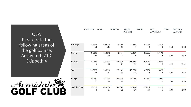Q7w Please rate the following areas of the golf course: Answered: 210 Skipped: 4



|                | <b>EXCELLENT</b> | <b>GOOD</b>   | AVERAGE      | <b>BELOW</b><br>AVERAGE | <b>POOR</b>           | <b>NOT</b><br>APPLICABLE | <b>TOTAL</b> | WEIGHTED<br>AVERAGE |
|----------------|------------------|---------------|--------------|-------------------------|-----------------------|--------------------------|--------------|---------------------|
| Fairways       | 25.24%<br>53     | 66.67%<br>140 | 6.19%<br>13  | 0.48%<br>1              | 0.00%<br>$\mathbf{0}$ | 1.43%<br>3               | 210          | 1.88                |
| Greens         | 49.28%<br>103    | 45.93%<br>96  | 3.35%<br>7   | 0.00%<br>0              | 0.00%<br>0            | 1.44%<br>3               | 209          | 1.60                |
| <b>Bunkers</b> | 4.29%<br>9       | 15.24%<br>32  | 33.81%<br>71 | 18.57%<br>39            | 26.67%<br>56          | 1.43%<br>3               | 210          | 3.52                |
| Tees           | 11.00%<br>23     | 39.23%<br>82  | 28.23%<br>59 | 15.79%<br>33            | 4.31%<br>9            | 1.44%<br>3               | 209          | 2.67                |
| Rough          | 5.26%<br>11      | 47.37%<br>99  | 36.36%<br>76 | 8.13%<br>17             | 0.48%<br>1            | 2.39%<br>5               | 209          | 2.58                |
| Speed of Play  | 3.83%<br>8       | 41.63%<br>87  | 31.10%<br>65 | 9.57%<br>20             | 11.48%<br>24          | 2.39%<br>5               | 209          | 2.90                |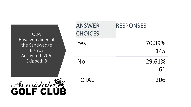Q8w Have you dined at the Sandwedge Bistro? Answered: 206 Skipped: 8

| <b>ANSWER</b><br><b>CHOICES</b> | <b>RESPONSES</b> |
|---------------------------------|------------------|
| Yes                             | 70.39%<br>145    |
| No                              | 29.61%<br>61     |
| <b>TOTAL</b>                    | 206              |

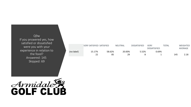Q9 w If you answered yes, how satisfied or dissatisfied were you with your experience in relation to the food? Answered: 145 Skipped: 69

|            | VERY SATISFIED SATISFIED |        | <b>NEUTRAL</b> | <b>DISSATISFIED</b> | VERY                | ΤΟΤΑL | WEIGHTED |
|------------|--------------------------|--------|----------------|---------------------|---------------------|-------|----------|
|            |                          |        |                |                     | <b>DISSATISFIED</b> |       | AVERAGE  |
| (no label) | 15.17%                   | 58.62% | 20.00%         | 5.52%               | 0.69%               |       |          |
|            |                          | 85     | 29             |                     |                     | 145   | 2.18     |

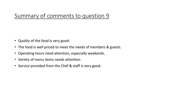### Summary of comments to question 9

- Quality of the food is very good.
- The food is well priced to meet the needs of members & guests.
- Operating hours need attention, especially weekends.
- Variety of menu items needs attention.
- Service provided from the Chef & staff is very good.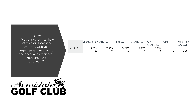Q10 w If you answered yes, how satisfied or dissatisfied were you with your experience in relation to the decor and ambience? Answered: 143 Skipped: 71

|            |       | <b>VERY SATISFIED SATISFIED</b> |              | <b>DISSATISFIED</b> | VERY<br><b>DISSATISFIED</b> | TOTAL | <b>WEIGHTED</b><br>AVERAGE |
|------------|-------|---------------------------------|--------------|---------------------|-----------------------------|-------|----------------------------|
| (no label) | 8.39% | 51.75%<br>74                    | 34.97%<br>50 | 4.90%               | $0.00\%$                    | 143   | 2.36                       |

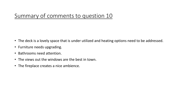### Summary of comments to question 10

- The deck is a lovely space that is under utilized and heating options need to be addressed.
- Furniture needs upgrading.
- Bathrooms need attention.
- The views out the windows are the best in town.
- The fireplace creates a nice ambience.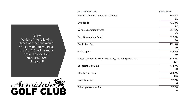Q11w Which of the following types of functions would you consider attending at the Club? Check as many options as you like. Answered: 206 Skipped: 8



| <b>ANSWER CHOICES</b>                                     | <b>RESPONSES</b> |
|-----------------------------------------------------------|------------------|
| Themed Dinners e.g. Italian, Asian etc                    | 39.32%<br>81     |
| Live Bands                                                | 42.23%<br>87     |
| Wine Degustation Events                                   | 36.41%<br>75     |
| <b>Beer Degustation Events</b>                            | 35.92%<br>74     |
| Family Fun Day                                            | 27.18%<br>56     |
| <b>Trivia Nights</b>                                      | 28.64%<br>59     |
| Guest Speakers for Major Events e.g. Retired Sports Stars | 51.94%<br>107    |
| <b>Corporate Golf Days</b>                                | 47.57%<br>98     |
| <b>Charity Golf Days</b>                                  | 70.87%<br>146    |
| Not Interested                                            | 7.77%<br>16      |
| Other (please specify)                                    | 7.77%<br>16      |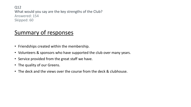Q12 What would you say are the key strengths of the Club? Answered: 154 Skipped: 60

# Summary of responses

- Friendships created within the membership.
- Volunteers & sponsors who have supported the club over many years.
- Service provided from the great staff we have.
- The quality of our Greens.
- The deck and the views over the course from the deck & clubhouse.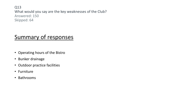Q13w What would you say are the key weaknesses of the Club? Answered: 150 Skipped: 64

## Summary of responses

- Operating hours of the Bistro
- Bunker drainage
- Outdoor practice facilities
- Furniture
- Bathrooms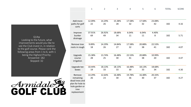Q14w Looking to the future, what improvements would you like to see the Club invest in, in relation to the golf course. Please rank the following areas from 1 to 6, with 1 being the Highest Priority: Answered: 182 Skipped: 32



|                                                                                                    | $1\,$        | $\overline{2}$ | 3            | 4            | 5            | 6            | <b>TOTAL</b> | <b>SCORE</b> |
|----------------------------------------------------------------------------------------------------|--------------|----------------|--------------|--------------|--------------|--------------|--------------|--------------|
|                                                                                                    |              |                |              |              |              |              |              |              |
| Add more<br>paths for golf<br>carts                                                                | 12.09%<br>22 | 14.29%<br>26   | 15.38%<br>28 | 17.58%<br>32 | 17.58%<br>32 | 23.08%<br>42 | 182          | 4.16         |
| Improve<br>bunker<br>drainage                                                                      | 37.91%<br>69 | 26.92%<br>49   | 18.68%<br>34 | 6.04%<br>11  | 6.04%<br>11  | 4.40%<br>8   | 182          | 5.71         |
| Remove tree<br>roots in rough                                                                      | 9.89%<br>18  | 14.29%<br>26   | 14.84%<br>27 | 17.58%<br>32 | 20.88%<br>38 | 22.53%<br>41 | 182          | 4.07         |
| Upgrade<br>course<br>irrigation                                                                    | 15.38%<br>28 | 13.74%<br>25   | 16.48%<br>30 | 22.53%<br>41 | 20.88%<br>38 | 10.99%<br>20 | 182          | 4.47         |
| Upgrade tee<br>boxes                                                                               | 10.44%<br>19 | 18.13%<br>33   | 18.13%<br>33 | 16.48%<br>30 | 18.13%<br>33 | 18.68%<br>34 | 182          | 4.30         |
| Remove<br>remaining<br>dead trees and<br>plan for hole to<br>hole garden or<br>tree<br>replacement | 14.29%<br>26 | 12.64%<br>23   | 16.48%<br>30 | 19.78%<br>36 | 16.48%<br>30 | 20.33%<br>37 | 182          | 4.27         |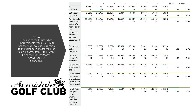| $\mathbf{1}$                                                                                            | $\overline{2}$          | 3            | 4           | 5            | 6            | 7           | 8            | <b>TOTAL</b> |     | <b>SCORE</b> |
|---------------------------------------------------------------------------------------------------------|-------------------------|--------------|-------------|--------------|--------------|-------------|--------------|--------------|-----|--------------|
| <b>New</b>                                                                                              | 16.48%                  | 21.98%       | 19.78%      | 13.19%       | 10.99%       | 8.79%       | 6.59%        | 2.20%        |     |              |
| Furniture                                                                                               | 30                      | 40           | 36          | 24           | 20           | 16          | 12           | 4            | 182 | 5.56         |
| Bathroom                                                                                                | 42.31%                  | 14.84%       | 16.48%      | 9.34%        | 4.40%        | 4.95%       | 6.04%        | 1.65%        |     |              |
| Upgrade                                                                                                 | 77                      | 27           | 30          | 17           | 8            | 9           | 11           | 3            | 182 | 6.34         |
| Addition of a                                                                                           | 10.99%                  | 14.84%       | 14.84%      | 17.58%       | 15.38%       | 12.64%      | 11.54%       | 2.20%        |     |              |
| deck to the<br>eastern/nort<br>hern side of<br>the<br>clubhouse,<br>off the<br>existing<br>Eastern deck | 20                      | 27           | 27          | 32           | 28           | 23          | 21           | 4            | 182 | 4.93         |
| Sell or lease<br>poker                                                                                  | 3.85%<br>$\overline{7}$ | 12.09%<br>22 | 7.69%<br>14 | 15.93%<br>29 | 13.19%<br>24 | 9.34%<br>17 | 10.99%<br>20 | 26.92%<br>49 | 182 | 3.71         |
| machines                                                                                                |                         |              |             |              |              |             |              |              |     |              |
| Install a                                                                                               | 12.64%                  | 7.69%        | 10.99%      | 11.54%       | 13.74%       | 17.58%      | 18.68%       | 7.14%        |     |              |
| children's<br>play area                                                                                 | 23                      | 14           | 20          | 21           | 25           | 32          | 34           | 13           | 182 | 4.31         |
| Upgrade the                                                                                             | 5.49%                   | 17.03%       | 11.54%      | 13.74%       | 17.58%       | 18.13%      | 13.74%       | 2.75%        |     |              |
| area behind<br>the bar                                                                                  | 10                      | 31           | 21          | 25           | 32           | 33          | 25           | 5            | 182 | 4.56         |
| Install shade                                                                                           | 3.30%                   | 8.79%        | 14.29%      | 11.54%       | 18.68%       | 20.88%      | 18.13%       | 4.40%        |     |              |
| umbrellas<br>and outdoor<br>furniture on<br>Eastern deck                                                | 6                       | 16           | 26          | 21           | 34           | 38          | 33           | 8            | 182 | 4.09         |
| <b>Install Putt</b>                                                                                     | 4.95%                   | 2.75%        | 4.40%       | 7.14%        | 6.04%        | 7.69%       | 14.29%       | 52.75%       |     |              |
| Putt golf<br>course<br>where<br>pergola is<br>currently<br>located                                      | 9                       | 5            | 8           | 13           | 11           | 14          | 26           | 96           | 182 | 2.49         |

Q15w Looking to the future, what improvements would you like to see the Club invest in, in relation to the clubhouse. Please rank the following areas from 1 to 8, with 1 being the Highest Priority: Answered: 182 Skipped: 32

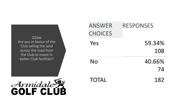Q16w Are you in favour of the Club selling the land across the road from the Club to invest in better Club facilities?



| <b>ANSWER</b><br><b>CHOICES</b> | <b>RESPONSES</b> |
|---------------------------------|------------------|
| Yes                             | 59.34%<br>108    |
| No                              | 40.66%<br>74     |
| <b>TOTAL</b>                    | 182              |